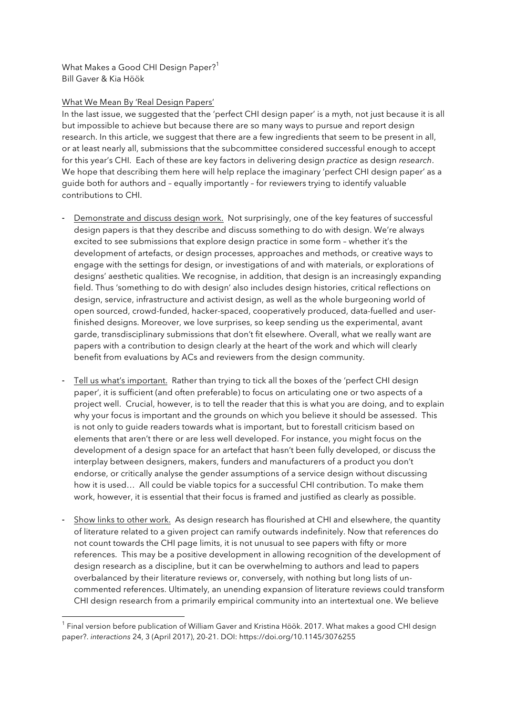What Makes a Good CHI Design Paper?<sup>1</sup> Bill Gaver & Kia Höök

## What We Mean By 'Real Design Papers'

 

In the last issue, we suggested that the 'perfect CHI design paper' is a myth, not just because it is all but impossible to achieve but because there are so many ways to pursue and report design research. In this article, we suggest that there are a few ingredients that seem to be present in all, or at least nearly all, submissions that the subcommittee considered successful enough to accept for this year's CHI. Each of these are key factors in delivering design *practice* as design *research*. We hope that describing them here will help replace the imaginary 'perfect CHI design paper' as a guide both for authors and – equally importantly – for reviewers trying to identify valuable contributions to CHI.

- Demonstrate and discuss design work. Not surprisingly, one of the key features of successful design papers is that they describe and discuss something to do with design. We're always excited to see submissions that explore design practice in some form – whether it's the development of artefacts, or design processes, approaches and methods, or creative ways to engage with the settings for design, or investigations of and with materials, or explorations of designs' aesthetic qualities. We recognise, in addition, that design is an increasingly expanding field. Thus 'something to do with design' also includes design histories, critical reflections on design, service, infrastructure and activist design, as well as the whole burgeoning world of open sourced, crowd-funded, hacker-spaced, cooperatively produced, data-fuelled and userfinished designs. Moreover, we love surprises, so keep sending us the experimental, avant garde, transdisciplinary submissions that don't fit elsewhere. Overall, what we really want are papers with a contribution to design clearly at the heart of the work and which will clearly benefit from evaluations by ACs and reviewers from the design community.
- Tell us what's important. Rather than trying to tick all the boxes of the 'perfect CHI design paper', it is sufficient (and often preferable) to focus on articulating one or two aspects of a project well. Crucial, however, is to tell the reader that this is what you are doing, and to explain why your focus is important and the grounds on which you believe it should be assessed. This is not only to guide readers towards what is important, but to forestall criticism based on elements that aren't there or are less well developed. For instance, you might focus on the development of a design space for an artefact that hasn't been fully developed, or discuss the interplay between designers, makers, funders and manufacturers of a product you don't endorse, or critically analyse the gender assumptions of a service design without discussing how it is used… All could be viable topics for a successful CHI contribution. To make them work, however, it is essential that their focus is framed and justified as clearly as possible.
- Show links to other work. As design research has flourished at CHI and elsewhere, the quantity of literature related to a given project can ramify outwards indefinitely. Now that references do not count towards the CHI page limits, it is not unusual to see papers with fifty or more references. This may be a positive development in allowing recognition of the development of design research as a discipline, but it can be overwhelming to authors and lead to papers overbalanced by their literature reviews or, conversely, with nothing but long lists of uncommented references. Ultimately, an unending expansion of literature reviews could transform CHI design research from a primarily empirical community into an intertextual one. We believe

 $<sup>1</sup>$  Final version before publication of William Gaver and Kristina Höök. 2017. What makes a good CHI design</sup> paper?. *interactions* 24, 3 (April 2017), 20-21. DOI: https://doi.org/10.1145/3076255